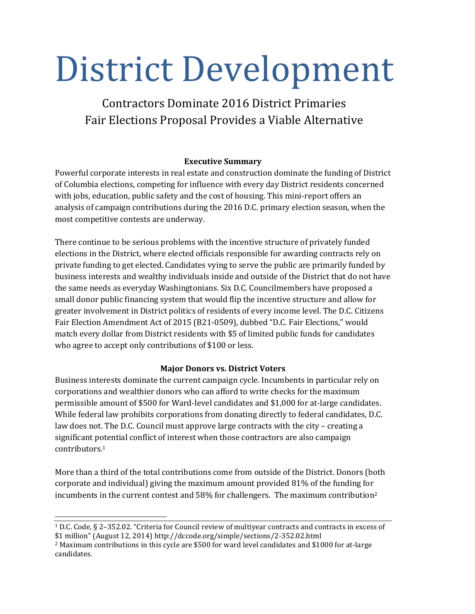# District Development

Contractors Dominate 2016 District Primaries Fair Elections Proposal Provides a Viable Alternative

# **Executive Summary**

Powerful corporate interests in real estate and construction dominate the funding of District of Columbia elections, competing for influence with every day District residents concerned with jobs, education, public safety and the cost of housing. This mini-report offers an analysis of campaign contributions during the 2016 D.C. primary election season, when the most competitive contests are underway.

There continue to be serious problems with the incentive structure of privately funded elections in the District, where elected officials responsible for awarding contracts rely on private funding to get elected. Candidates vying to serve the public are primarily funded by business interests and wealthy individuals inside and outside of the District that do not have the same needs as everyday Washingtonians. Six D.C. Councilmembers have proposed a small donor public financing system that would flip the incentive structure and allow for greater involvement in District politics of residents of every income level. The D.C. Citizens Fair Election Amendment Act of 2015 (B21-0509), dubbed "D.C. Fair Elections," would match every dollar from District residents with \$5 of limited public funds for candidates who agree to accept only contributions of \$100 or less.

# **Major Donors vs. District Voters**

Business interests dominate the current campaign cycle. Incumbents in particular rely on corporations and wealthier donors who can afford to write checks for the maximum permissible amount of \$500 for Ward-level candidates and \$1,000 for at-large candidates. While federal law prohibits corporations from donating directly to federal candidates, D.C. law does not. The D.C. Council must approve large contracts with the city – creating a significant potential conflict of interest when those contractors are also campaign contributors. 1

More than a third of the total contributions come from outside of the District. Donors (both corporate and individual) giving the maximum amount provided 81% of the funding for incumbents in the current contest and 58% for challengers. The maximum contribution<sup>2</sup>

<sup>1</sup> D.C. Code, § 2–352.02. "Criteria for Council review of multiyear contracts and contracts in excess of \$1 million" (August 12, 2014) http://dccode.org/simple/sections/2-352.02.html

<sup>2</sup> Maximum contributions in this cycle are \$500 for ward level candidates and \$1000 for at-large candidates.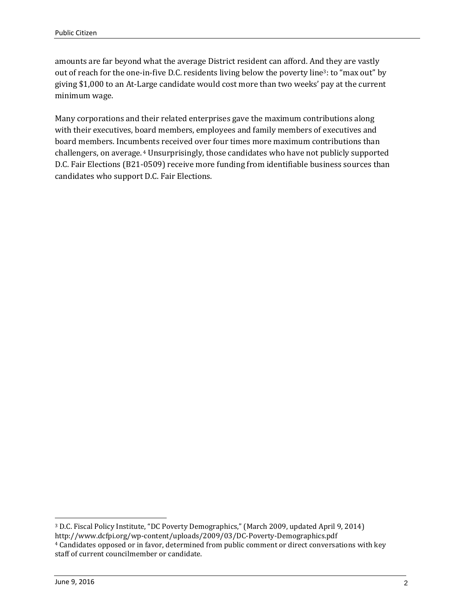amounts are far beyond what the average District resident can afford. And they are vastly out of reach for the one-in-five D.C. residents living below the poverty line3: to "max out" by giving \$1,000 to an At-Large candidate would cost more than two weeks' pay at the current minimum wage.

Many corporations and their related enterprises gave the maximum contributions along with their executives, board members, employees and family members of executives and board members. Incumbents received over four times more maximum contributions than challengers, on average. <sup>4</sup> Unsurprisingly, those candidates who have not publicly supported D.C. Fair Elections (B21-0509) receive more funding from identifiable business sources than candidates who support D.C. Fair Elections.

<sup>3</sup> D.C. Fiscal Policy Institute, "DC Poverty Demographics," (March 2009, updated April 9, 2014) http://www.dcfpi.org/wp-content/uploads/2009/03/DC-Poverty-Demographics.pdf <sup>4</sup> Candidates opposed or in favor, determined from public comment or direct conversations with key staff of current councilmember or candidate.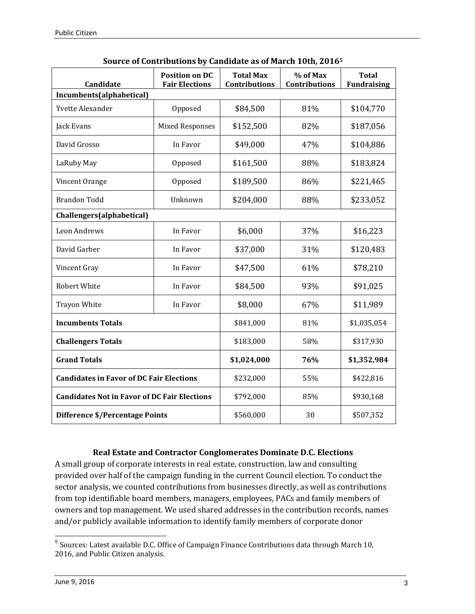| Candidate                                           | <b>Position on DC</b><br><b>Fair Elections</b> | <b>Total Max</b><br>Contributions | % of Max<br>Contributions | <b>Total</b><br><b>Fundraising</b> |  |  |  |
|-----------------------------------------------------|------------------------------------------------|-----------------------------------|---------------------------|------------------------------------|--|--|--|
| Incumbents(alphabetical)                            |                                                |                                   |                           |                                    |  |  |  |
| Yvette Alexander                                    | Opposed                                        | \$84,500                          | 81%                       | \$104,770                          |  |  |  |
| Jack Evans                                          | <b>Mixed Responses</b>                         | \$152,500                         | 82%                       | \$187,056                          |  |  |  |
| David Grosso                                        | In Favor                                       | \$49,000                          | 47%                       | \$104,886                          |  |  |  |
| LaRuby May                                          | Opposed                                        | \$161,500                         | 88%                       | \$183,824                          |  |  |  |
| Vincent Orange                                      | Opposed                                        | \$189,500                         | 86%                       | \$221,465                          |  |  |  |
| <b>Brandon Todd</b>                                 | Unknown                                        | \$204,000                         | 88%                       | \$233,052                          |  |  |  |
| Challengers(alphabetical)                           |                                                |                                   |                           |                                    |  |  |  |
| Leon Andrews                                        | In Favor                                       | \$6,000                           | 37%                       | \$16,223                           |  |  |  |
| David Garber                                        | In Favor                                       | \$37,000                          | 31%                       | \$120,483                          |  |  |  |
| Vincent Gray                                        | In Favor                                       | \$47,500                          | 61%                       | \$78,210                           |  |  |  |
| Robert White                                        | In Favor                                       | \$84,500                          | 93%                       | \$91,025                           |  |  |  |
| <b>Trayon White</b>                                 | In Favor                                       | \$8,000                           | 67%                       | \$11,989                           |  |  |  |
| <b>Incumbents Totals</b>                            |                                                | \$841,000                         | 81%                       | \$1,035,054                        |  |  |  |
| <b>Challengers Totals</b>                           |                                                | \$183,000                         | 58%                       | \$317,930                          |  |  |  |
| <b>Grand Totals</b>                                 |                                                | \$1,024,000                       | 76%                       | \$1,352,984                        |  |  |  |
| <b>Candidates in Favor of DC Fair Elections</b>     |                                                | \$232,000                         | 55%                       | \$422,816                          |  |  |  |
| <b>Candidates Not in Favor of DC Fair Elections</b> |                                                | \$792,000                         | 85%                       | \$930,168                          |  |  |  |
| Difference \$/Percentage Points                     |                                                | \$560,000                         | 30                        | \$507,352                          |  |  |  |

#### **Source of Contributions by Candidate as of March 10th, 2016<sup>5</sup>**

#### **Real Estate and Contractor Conglomerates Dominate D.C. Elections**

A small group of corporate interests in real estate, construction, law and consulting provided over half of the campaign funding in the current Council election. To conduct the sector analysis, we counted contributions from businesses directly, as well as contributions from top identifiable board members, managers, employees, PACs and family members of owners and top management. We used shared addresses in the contribution records, names and/or publicly available information to identify family members of corporate donor

 5 Sources: Latest available D.C. Office of Campaign Finance Contributions data through March 10, 2016, and Public Citizen analysis.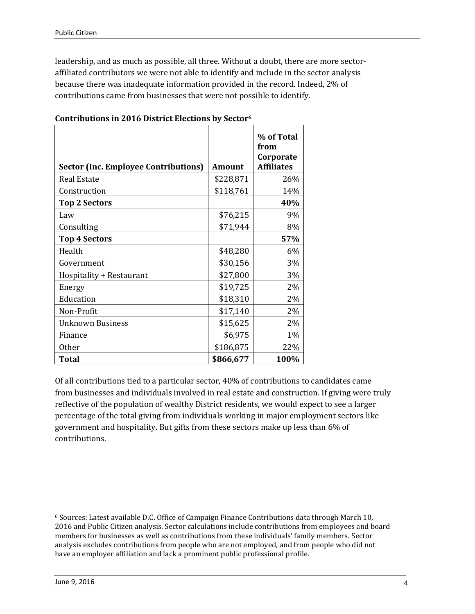leadership, and as much as possible, all three. Without a doubt, there are more sectoraffiliated contributors we were not able to identify and include in the sector analysis because there was inadequate information provided in the record. Indeed, 2% of contributions came from businesses that were not possible to identify.

| <b>Sector (Inc. Employee Contributions)</b> | <b>Amount</b> | % of Total<br>from<br>Corporate<br><b>Affiliates</b> |
|---------------------------------------------|---------------|------------------------------------------------------|
| <b>Real Estate</b>                          | \$228,871     | 26%                                                  |
| Construction                                | \$118,761     | 14%                                                  |
| <b>Top 2 Sectors</b>                        |               | 40%                                                  |
| Law                                         | \$76,215      | 9%                                                   |
| Consulting                                  | \$71,944      | 8%                                                   |
| <b>Top 4 Sectors</b>                        |               | 57%                                                  |
| Health                                      | \$48,280      | 6%                                                   |
| Government                                  | \$30,156      | 3%                                                   |
| Hospitality + Restaurant                    | \$27,800      | 3%                                                   |
| Energy                                      | \$19,725      | 2%                                                   |
| Education                                   | \$18,310      | 2%                                                   |
| Non-Profit                                  | \$17,140      | 2%                                                   |
| <b>Unknown Business</b>                     | \$15,625      | 2%                                                   |
| Finance                                     | \$6,975       | 1%                                                   |
| <b>Other</b>                                | \$186,875     | 22%                                                  |
| <b>Total</b>                                | \$866,677     | 100%                                                 |

#### **Contributions in 2016 District Elections by Sector<sup>6</sup>**

Of all contributions tied to a particular sector, 40% of contributions to candidates came from businesses and individuals involved in real estate and construction. If giving were truly reflective of the population of wealthy District residents, we would expect to see a larger percentage of the total giving from individuals working in major employment sectors like government and hospitality. But gifts from these sectors make up less than 6% of contributions.

<sup>6</sup> Sources: Latest available D.C. Office of Campaign Finance Contributions data through March 10, 2016 and Public Citizen analysis. Sector calculations include contributions from employees and board members for businesses as well as contributions from these individuals' family members. Sector analysis excludes contributions from people who are not employed, and from people who did not have an employer affiliation and lack a prominent public professional profile.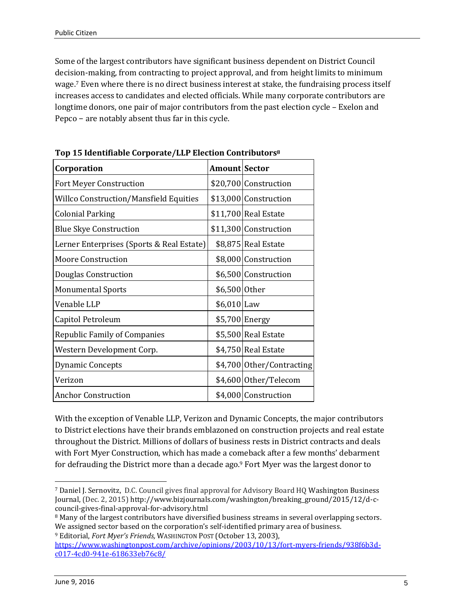Some of the largest contributors have significant business dependent on District Council decision-making, from contracting to project approval, and from height limits to minimum wage. <sup>7</sup> Even where there is no direct business interest at stake, the fundraising process itself increases access to candidates and elected officials. While many corporate contributors are longtime donors, one pair of major contributors from the past election cycle – Exelon and Pepco − are notably absent thus far in this cycle.

| rop to nichtmable corporate/lill literatum contributors<br>Corporation | <b>Amount Sector</b> |                           |
|------------------------------------------------------------------------|----------------------|---------------------------|
| <b>Fort Meyer Construction</b>                                         |                      | \$20,700 Construction     |
| <b>Willco Construction/Mansfield Equities</b>                          |                      | \$13,000 Construction     |
| <b>Colonial Parking</b>                                                |                      | \$11,700 Real Estate      |
| <b>Blue Skye Construction</b>                                          |                      | \$11,300 Construction     |
| Lerner Enterprises (Sports & Real Estate)                              |                      | \$8,875 Real Estate       |
| <b>Moore Construction</b>                                              |                      | \$8,000 Construction      |
| Douglas Construction                                                   |                      | \$6,500 Construction      |
| <b>Monumental Sports</b>                                               | \$6,500 Other        |                           |
| Venable LLP                                                            | $$6,010$ Law         |                           |
| Capitol Petroleum                                                      |                      | \$5,700 Energy            |
| <b>Republic Family of Companies</b>                                    |                      | \$5,500 Real Estate       |
| Western Development Corp.                                              |                      | \$4,750 Real Estate       |
| <b>Dynamic Concepts</b>                                                |                      | \$4,700 Other/Contracting |
| Verizon                                                                |                      | \$4,600 Other/Telecom     |
| <b>Anchor Construction</b>                                             |                      | \$4,000 Construction      |

**Top 15 Identifiable Corporate/LLP Election Contributors<sup>8</sup>**

With the exception of Venable LLP, Verizon and Dynamic Concepts, the major contributors to District elections have their brands emblazoned on construction projects and real estate throughout the District. Millions of dollars of business rests in District contracts and deals with Fort Myer Construction, which has made a comeback after a few months' debarment for defrauding the District more than a decade ago.<sup>9</sup> Fort Myer was the largest donor to

<sup>-</sup><sup>7</sup> [Daniel J. Sernovitz,](https://securepubads.g.doubleclick.net/pcs/view?xai=AKAOjsuoPkgQeNrmmLGnYO2RXyBHDdkOdgOG83rDWWXIm9RWshAuXDmW2UsaB84K6KPJi0Iq1lZr4_Ar0HxiT0s0i5epqsMDTFEExcqeqh-2-iBRcncIslWUoQrERWl8l8sR2GnxRy3AnSr3cYz9hRdm64yH5gAxYZXQ_yjeoFwXLpKfC0-Qc2Hk2WMT2tOJhf9vidWlQIp0PCt6RPCNE5KFuBJxl5-Fh4WW8ZGSTNJY66ZAE8PGSzT895g2RbeP&sai=AMfl-YSJN1M4rnXfzhNfrrsR1JWckJQuS8ZXIxEhQfInlaeK4cItY0E4h9ql49CVSKKjH6RyMnuI6mjUHA&sig=Cg0ArKJSzHHpL1eKLCaZEAE&urlfix=1&adurl=https://tpc.googlesyndication.com/pagead/imgad?id=CICAgKDT76X9axABGAEyCNk3OcrSZUB0%26t%3D10%26cT%3Dhttp%253A//bizjournals.com%26l%3Dhttp%253A//www.bizjournals.com/washington/bio/9541/Daniel+J.+Sernovitz) D.C. Council gives final approval for Advisory Board HQ Washington Business Journal, (Dec. 2, 2015) http://www.bizjournals.com/washington/breaking\_ground/2015/12/d-ccouncil-gives-final-approval-for-advisory.html

<sup>&</sup>lt;sup>8</sup> Many of the largest contributors have diversified business streams in several overlapping sectors. We assigned sector based on the corporation's self-identified primary area of business.

<sup>9</sup> Editorial, *Fort Myer's Friends,* WASHINGTON POST (October 13, 2003)[,](http://www.nytimes.com/2015/10/10/business/us-chamber-of-commerces-focus-on-advocacy-a-boon-to-tobacco.html?_r=0) [https://www.washingtonpost.com/archive/opinions/2003/10/13/fort-myers-friends/938f6b3d](https://www.washingtonpost.com/archive/opinions/2003/10/13/fort-myers-friends/938f6b3d-c017-4cd0-941e-618633eb76c8/)[c017-4cd0-941e-618633eb76c8/](https://www.washingtonpost.com/archive/opinions/2003/10/13/fort-myers-friends/938f6b3d-c017-4cd0-941e-618633eb76c8/)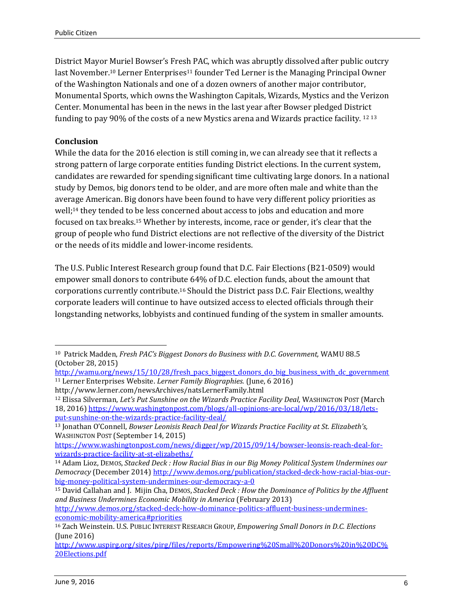District Mayor Muriel Bowser's Fresh PAC, which was abruptly dissolved after public outcry last November.<sup>10</sup> Lerner Enterprises<sup>11</sup> founder Ted Lerner is the Managing Principal Owner of the Washington Nationals and one of a dozen owners of another major contributor, Monumental Sports, which owns the Washington Capitals, Wizards, Mystics and the Verizon Center. Monumental has been in the news in the last year after Bowser pledged District funding to pay 90% of the costs of a new Mystics arena and Wizards practice facility.  $12\,13$ 

### **Conclusion**

While the data for the 2016 election is still coming in, we can already see that it reflects a strong pattern of large corporate entities funding District elections. In the current system, candidates are rewarded for spending significant time cultivating large donors. In a national study by Demos, big donors tend to be older, and are more often male and white than the average American. Big donors have been found to have very different policy priorities as well;<sup>14</sup> they tended to be less concerned about access to jobs and education and more focused on tax breaks.<sup>15</sup> Whether by interests, income, race or gender, it's clear that the group of people who fund District elections are not reflective of the diversity of the District or the needs of its middle and lower-income residents.

The U.S. Public Interest Research group found that D.C. Fair Elections (B21-0509) would empower small donors to contribute 64% of D.C. election funds, about the amount that corporations currently contribute.<sup>16</sup> Should the District pass D.C. Fair Elections, wealthy corporate leaders will continue to have outsized access to elected officials through their longstanding networks, lobbyists and continued funding of the system in smaller amounts.

<sup>-</sup><sup>10</sup> Patrick Madden, *Fresh PAC's Biggest Donors do Business with D.C. Government,* WAMU 88.5 (October 28, 2015)

[http://wamu.org/news/15/10/28/fresh\\_pacs\\_biggest\\_donors\\_do\\_big\\_business\\_with\\_dc\\_government](http://wamu.org/news/15/10/28/fresh_pacs_biggest_donors_do_big_business_with_dc_government) <sup>11</sup> Lerner Enterprises Website. *Lerner Family Biographies.* (June, 6 2016)

http://www.lerner.com/newsArchives/natsLernerFamily.html

<sup>12</sup> Elissa Silverman, *Let's Put Sunshine on the Wizards Practice Facility Deal,* WASHINGTON POST (March 18, 2016[\) https://www.washingtonpost.com/blogs/all-opinions-are-local/wp/2016/03/18/lets](https://www.washingtonpost.com/blogs/all-opinions-are-local/wp/2016/03/18/lets-put-sunshine-on-the-wizards-practice-facility-deal/)[put-sunshine-on-the-wizards-practice-facility-deal/](https://www.washingtonpost.com/blogs/all-opinions-are-local/wp/2016/03/18/lets-put-sunshine-on-the-wizards-practice-facility-deal/)

<sup>13</sup> Jonathan O'Connell, *Bowser Leonisis Reach Deal for Wizards Practice Facility at St. Elizabeth's,*  WASHINGTON POST (September 14, 2015)

[https://www.washingtonpost.com/news/digger/wp/2015/09/14/bowser-leonsis-reach-deal-for](https://www.washingtonpost.com/news/digger/wp/2015/09/14/bowser-leonsis-reach-deal-for-wizards-practice-facility-at-st-elizabeths/)[wizards-practice-facility-at-st-elizabeths/](https://www.washingtonpost.com/news/digger/wp/2015/09/14/bowser-leonsis-reach-deal-for-wizards-practice-facility-at-st-elizabeths/)

<sup>14</sup> Adam Lioz, DEMOS, *Stacked Deck : How Racial Bias in our Big Money Political System Undermines our Democracy* (December 2014[\) http://www.demos.org/publication/stacked-deck-how-racial-bias-our](http://www.demos.org/publication/stacked-deck-how-racial-bias-our-big-money-political-system-undermines-our-democracy-a-0)[big-money-political-system-undermines-our-democracy-a-0](http://www.demos.org/publication/stacked-deck-how-racial-bias-our-big-money-political-system-undermines-our-democracy-a-0)

<sup>15</sup> David Callahan and J. Mijin Cha, DEMOS, *Stacked Deck : How the Dominance of Politics by the Affluent and Business Undermines Economic Mobility in America* (February 2013)

[http://www.demos.org/stacked-deck-how-dominance-politics-affluent-business-undermines](http://www.demos.org/stacked-deck-how-dominance-politics-affluent-business-undermines-economic-mobility-america#priorities)[economic-mobility-america#priorities](http://www.demos.org/stacked-deck-how-dominance-politics-affluent-business-undermines-economic-mobility-america#priorities)

<sup>16</sup> Zach Weinstein. U.S. PUBLIC INTEREST RESEARCH GROUP, *Empowering Small Donors in D.C. Elections*  (June 2016)

[http://www.uspirg.org/sites/pirg/files/reports/Empowering%20Small%20Donors%20in%20DC%](http://www.uspirg.org/sites/pirg/files/reports/Empowering%20Small%20Donors%20in%20DC%20Elections.pdf) [20Elections.pdf](http://www.uspirg.org/sites/pirg/files/reports/Empowering%20Small%20Donors%20in%20DC%20Elections.pdf)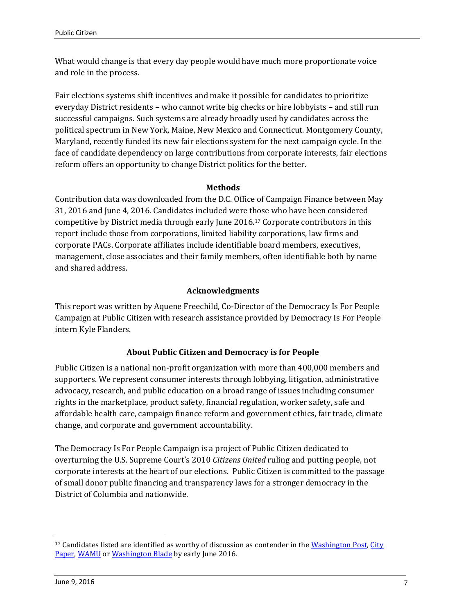What would change is that every day people would have much more proportionate voice and role in the process.

Fair elections systems shift incentives and make it possible for candidates to prioritize everyday District residents – who cannot write big checks or hire lobbyists – and still run successful campaigns. Such systems are already broadly used by candidates across the political spectrum in New York, Maine, New Mexico and Connecticut. Montgomery County, Maryland, recently funded its new fair elections system for the next campaign cycle. In the face of candidate dependency on large contributions from corporate interests, fair elections reform offers an opportunity to change District politics for the better.

#### **Methods**

Contribution data was downloaded from the D.C. Office of Campaign Finance between May 31, 2016 and June 4, 2016. Candidates included were those who have been considered competitive by District media through early June 2016.<sup>17</sup> Corporate contributors in this report include those from corporations, limited liability corporations, law firms and corporate PACs. Corporate affiliates include identifiable board members, executives, management, close associates and their family members, often identifiable both by name and shared address.

## **Acknowledgments**

This report was written by Aquene Freechild, Co-Director of the Democracy Is For People Campaign at Public Citizen with research assistance provided by Democracy Is For People intern Kyle Flanders.

# **About Public Citizen and Democracy is for People**

Public Citizen is a national non-profit organization with more than 400,000 members and supporters. We represent consumer interests through lobbying, litigation, administrative advocacy, research, and public education on a broad range of issues including consumer rights in the marketplace, product safety, financial regulation, worker safety, safe and affordable health care, campaign finance reform and government ethics, fair trade, climate change, and corporate and government accountability.

The Democracy Is For People Campaign is a project of Public Citizen dedicated to overturning the U.S. Supreme Court's 2010 *Citizens United* ruling and putting people, not corporate interests at the heart of our elections. Public Citizen is committed to the passage of small donor public financing and transparency laws for a stronger democracy in the District of Columbia and nationwide.

<sup>&</sup>lt;sup>17</sup> Candidates listed are identified as worthy of discussion as contender in th[e Washington Post,](https://www.washingtonpost.com/opinions/for-dc-council/2016/05/27/5e86c61c-20ee-11e6-aa84-42391ba52c91_story.html) City [Paper,](http://www.washingtoncitypaper.com/news/loose-lips) [WAMU](http://wamu.org/news/16/03/03/public_vote_on_15_minimum_wage_in_dc_remains_in_legal_limbo) o[r Washington Blade](http://www.washingtonblade.com/tag/district-of-columbia/) by early June 2016.